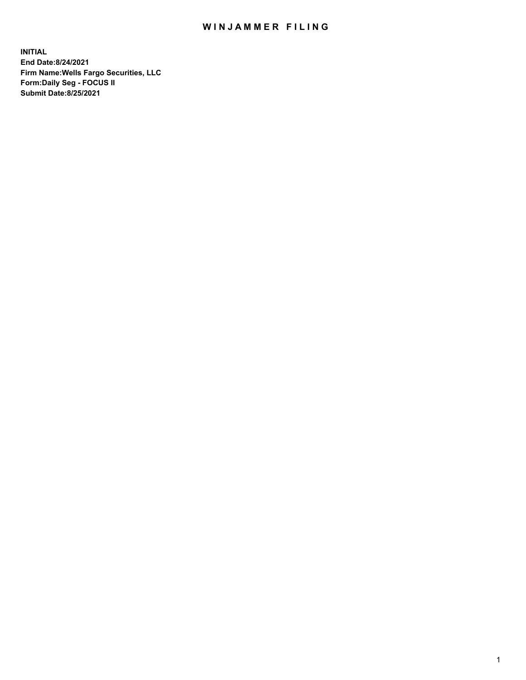## WIN JAMMER FILING

**INITIAL End Date:8/24/2021 Firm Name:Wells Fargo Securities, LLC Form:Daily Seg - FOCUS II Submit Date:8/25/2021**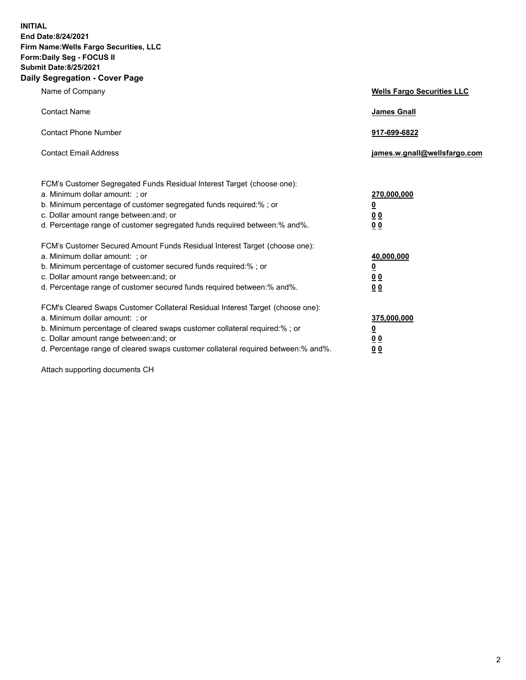**INITIAL End Date:8/24/2021 Firm Name:Wells Fargo Securities, LLC Form:Daily Seg - FOCUS II Submit Date:8/25/2021 Daily Segregation - Cover Page**

| Name of Company                                                                                                                                                                                                                                                                                                                | <b>Wells Fargo Securities LLC</b>                                          |
|--------------------------------------------------------------------------------------------------------------------------------------------------------------------------------------------------------------------------------------------------------------------------------------------------------------------------------|----------------------------------------------------------------------------|
| <b>Contact Name</b>                                                                                                                                                                                                                                                                                                            | <b>James Gnall</b>                                                         |
| <b>Contact Phone Number</b>                                                                                                                                                                                                                                                                                                    | 917-699-6822                                                               |
| <b>Contact Email Address</b>                                                                                                                                                                                                                                                                                                   | james.w.gnall@wellsfargo.com                                               |
| FCM's Customer Segregated Funds Residual Interest Target (choose one):<br>a. Minimum dollar amount: ; or<br>b. Minimum percentage of customer segregated funds required:% ; or<br>c. Dollar amount range between: and; or<br>d. Percentage range of customer segregated funds required between:% and%.                         | 270,000,000<br>$\underline{\mathbf{0}}$<br>00<br>00                        |
| FCM's Customer Secured Amount Funds Residual Interest Target (choose one):<br>a. Minimum dollar amount: ; or<br>b. Minimum percentage of customer secured funds required:%; or<br>c. Dollar amount range between: and; or<br>d. Percentage range of customer secured funds required between: % and %.                          | 40,000,000<br>$\underline{\mathbf{0}}$<br>0 <sub>0</sub><br>0 <sub>0</sub> |
| FCM's Cleared Swaps Customer Collateral Residual Interest Target (choose one):<br>a. Minimum dollar amount: ; or<br>b. Minimum percentage of cleared swaps customer collateral required:% ; or<br>c. Dollar amount range between: and; or<br>d. Percentage range of cleared swaps customer collateral required between:% and%. | 375,000,000<br><u>0</u><br>00<br><u>00</u>                                 |

Attach supporting documents CH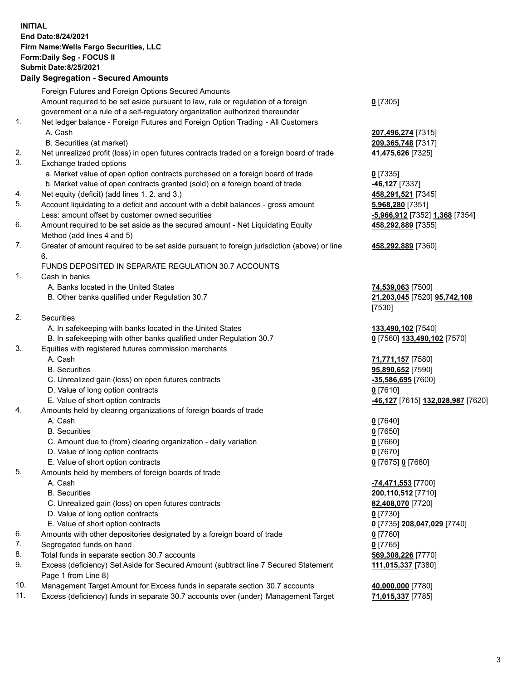**INITIAL End Date:8/24/2021 Firm Name:Wells Fargo Securities, LLC Form:Daily Seg - FOCUS II Submit Date:8/25/2021**

## **Daily Segregation - Secured Amounts**

|           | Foreign Futures and Foreign Options Secured Amounts                                                                                  |                                   |
|-----------|--------------------------------------------------------------------------------------------------------------------------------------|-----------------------------------|
|           | Amount required to be set aside pursuant to law, rule or regulation of a foreign                                                     | $0$ [7305]                        |
|           | government or a rule of a self-regulatory organization authorized thereunder                                                         |                                   |
| 1.        | Net ledger balance - Foreign Futures and Foreign Option Trading - All Customers                                                      |                                   |
|           | A. Cash                                                                                                                              | 207,496,274 [7315]                |
|           | B. Securities (at market)                                                                                                            | 209, 365, 748 [7317]              |
| 2.        | Net unrealized profit (loss) in open futures contracts traded on a foreign board of trade                                            | 41,475,626 [7325]                 |
| 3.        | Exchange traded options                                                                                                              |                                   |
|           | a. Market value of open option contracts purchased on a foreign board of trade                                                       | $0$ [7335]                        |
|           | b. Market value of open contracts granted (sold) on a foreign board of trade                                                         | -46,127 [7337]                    |
| 4.        | Net equity (deficit) (add lines 1. 2. and 3.)                                                                                        | 458,291,521 [7345]                |
| 5.        | Account liquidating to a deficit and account with a debit balances - gross amount                                                    | 5,968,280 [7351]                  |
|           | Less: amount offset by customer owned securities                                                                                     | -5,966,912 [7352] 1,368 [7354]    |
| 6.        | Amount required to be set aside as the secured amount - Net Liquidating Equity                                                       | 458,292,889 [7355]                |
|           | Method (add lines 4 and 5)                                                                                                           |                                   |
| 7.        | Greater of amount required to be set aside pursuant to foreign jurisdiction (above) or line                                          | 458,292,889 [7360]                |
|           | 6.                                                                                                                                   |                                   |
|           | FUNDS DEPOSITED IN SEPARATE REGULATION 30.7 ACCOUNTS                                                                                 |                                   |
| 1.        | Cash in banks                                                                                                                        |                                   |
|           | A. Banks located in the United States                                                                                                | 74,539,063 [7500]                 |
|           | B. Other banks qualified under Regulation 30.7                                                                                       | 21,203,045 [7520] 95,742,108      |
|           |                                                                                                                                      | [7530]                            |
| 2.        | Securities                                                                                                                           |                                   |
|           | A. In safekeeping with banks located in the United States                                                                            | 133,490,102 [7540]                |
|           | B. In safekeeping with other banks qualified under Regulation 30.7                                                                   | 0 [7560] 133,490,102 [7570]       |
| 3.        | Equities with registered futures commission merchants                                                                                |                                   |
|           | A. Cash                                                                                                                              | 71,771,157 [7580]                 |
|           | <b>B.</b> Securities                                                                                                                 | 95,890,652 [7590]                 |
|           | C. Unrealized gain (loss) on open futures contracts                                                                                  | $-35,586,695$ [7600]              |
|           | D. Value of long option contracts                                                                                                    | $0$ [7610]                        |
|           | E. Value of short option contracts                                                                                                   | -46,127 [7615] 132,028,987 [7620] |
| 4.        | Amounts held by clearing organizations of foreign boards of trade                                                                    |                                   |
|           | A. Cash                                                                                                                              | $0$ [7640]                        |
|           | <b>B.</b> Securities                                                                                                                 | $0$ [7650]                        |
|           | C. Amount due to (from) clearing organization - daily variation                                                                      | $0$ [7660]                        |
|           | D. Value of long option contracts                                                                                                    | $0$ [7670]                        |
|           | E. Value of short option contracts                                                                                                   | 0 [7675] 0 [7680]                 |
| 5.        | Amounts held by members of foreign boards of trade                                                                                   |                                   |
|           | A. Cash                                                                                                                              | -74,471,553 [7700]                |
|           | <b>B.</b> Securities                                                                                                                 | 200,110,512 [7710]                |
|           | C. Unrealized gain (loss) on open futures contracts                                                                                  | 82,408,070 [7720]                 |
|           | D. Value of long option contracts                                                                                                    | $0$ [7730]                        |
|           | E. Value of short option contracts                                                                                                   | 0 [7735] 208,047,029 [7740]       |
| 6.        | Amounts with other depositories designated by a foreign board of trade                                                               | $0$ [7760]                        |
| 7.<br>8.  | Segregated funds on hand                                                                                                             | $0$ [7765]                        |
| 9.        | Total funds in separate section 30.7 accounts<br>Excess (deficiency) Set Aside for Secured Amount (subtract line 7 Secured Statement | 569,308,226 [7770]                |
|           | Page 1 from Line 8)                                                                                                                  | 111,015,337 [7380]                |
| $10^{-1}$ | Monogement Terget Amount for Excess funds in concrete contion 20.7 concurto                                                          | 40.000.000.177001                 |

- 10. Management Target Amount for Excess funds in separate section 30.7 accounts **40,000,000** [7780]
- 11. Excess (deficiency) funds in separate 30.7 accounts over (under) Management Target **71,015,337** [7785]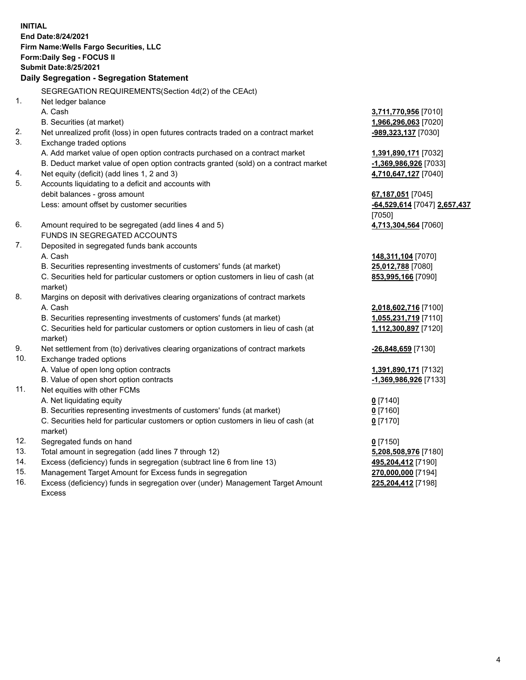**INITIAL End Date:8/24/2021 Firm Name:Wells Fargo Securities, LLC Form:Daily Seg - FOCUS II Submit Date:8/25/2021**

## **Daily Segregation - Segregation Statement**

SEGREGATION REQUIREMENTS(Section 4d(2) of the CEAct)

| 1.  | Net ledger balance                                                                  |                              |
|-----|-------------------------------------------------------------------------------------|------------------------------|
|     | A. Cash                                                                             | 3,711,770,956 [7010]         |
|     | B. Securities (at market)                                                           | 1,966,296,063 [7020]         |
| 2.  | Net unrealized profit (loss) in open futures contracts traded on a contract market  | -989,323,137 [7030]          |
| 3.  | Exchange traded options                                                             |                              |
|     | A. Add market value of open option contracts purchased on a contract market         | 1,391,890,171 [7032]         |
|     | B. Deduct market value of open option contracts granted (sold) on a contract market | -1,369,986,926 [7033]        |
| 4.  | Net equity (deficit) (add lines 1, 2 and 3)                                         | 4,710,647,127 [7040]         |
| 5.  | Accounts liquidating to a deficit and accounts with                                 |                              |
|     | debit balances - gross amount                                                       | 67,187,051 [7045]            |
|     | Less: amount offset by customer securities                                          | -64,529,614 [7047] 2,657,437 |
|     |                                                                                     | [7050]                       |
| 6.  | Amount required to be segregated (add lines 4 and 5)                                | 4,713,304,564 [7060]         |
|     | FUNDS IN SEGREGATED ACCOUNTS                                                        |                              |
| 7.  | Deposited in segregated funds bank accounts                                         |                              |
|     | A. Cash                                                                             | 148,311,104 [7070]           |
|     | B. Securities representing investments of customers' funds (at market)              | 25,012,788 [7080]            |
|     | C. Securities held for particular customers or option customers in lieu of cash (at | 853,995,166 [7090]           |
|     | market)                                                                             |                              |
| 8.  | Margins on deposit with derivatives clearing organizations of contract markets      |                              |
|     | A. Cash                                                                             | 2,018,602,716 [7100]         |
|     | B. Securities representing investments of customers' funds (at market)              | 1,055,231,719 [7110]         |
|     | C. Securities held for particular customers or option customers in lieu of cash (at | 1,112,300,897 [7120]         |
|     | market)                                                                             |                              |
| 9.  | Net settlement from (to) derivatives clearing organizations of contract markets     | -26,848,659 [7130]           |
| 10. | Exchange traded options                                                             |                              |
|     | A. Value of open long option contracts                                              | 1,391,890,171 [7132]         |
|     | B. Value of open short option contracts                                             | -1,369,986,926 [7133]        |
| 11. | Net equities with other FCMs                                                        |                              |
|     | A. Net liquidating equity                                                           | $0$ [7140]                   |
|     | B. Securities representing investments of customers' funds (at market)              | $0$ [7160]                   |
|     | C. Securities held for particular customers or option customers in lieu of cash (at | $0$ [7170]                   |
|     | market)                                                                             |                              |
| 12. | Segregated funds on hand                                                            | $0$ [7150]                   |
| 13. | Total amount in segregation (add lines 7 through 12)                                | 5,208,508,976 [7180]         |
| 14. | Excess (deficiency) funds in segregation (subtract line 6 from line 13)             | 495,204,412 [7190]           |
| 15. | Management Target Amount for Excess funds in segregation                            | 270,000,000 [7194]           |
| 16. | Excess (deficiency) funds in segregation over (under) Management Target Amount      | 225,204,412 [7198]           |
|     | Excess                                                                              |                              |